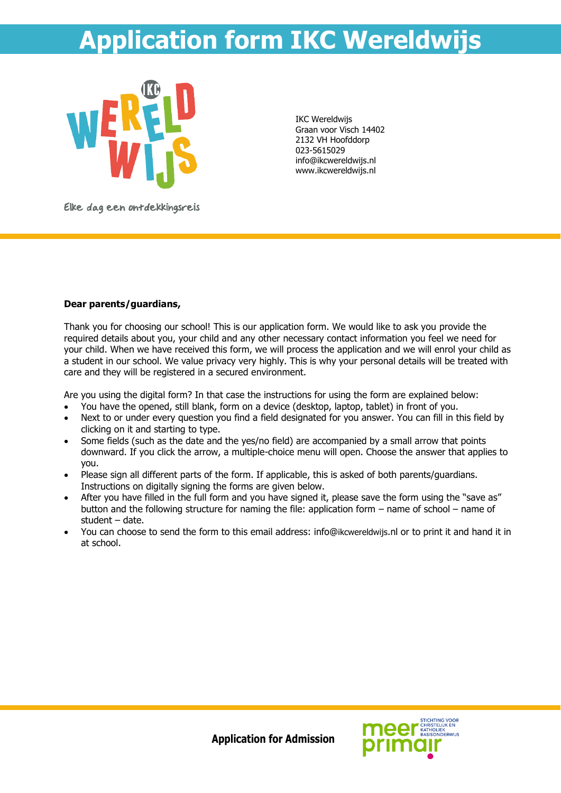# **Application form IKC Wereldwijs**



IKC Wereldwijs Graan voor Visch 14402 2132 VH Hoofddorp 023-5615029 info@ikcwereldwijs.nl www.ikcwereldwijs.nl

Elke dag een ontdekkingsreis

## **Dear parents/guardians,**

Thank you for choosing our school! This is our application form. We would like to ask you provide the required details about you, your child and any other necessary contact information you feel we need for your child. When we have received this form, we will process the application and we will enrol your child as a student in our school. We value privacy very highly. This is why your personal details will be treated with care and they will be registered in a secured environment.

Are you using the digital form? In that case the instructions for using the form are explained below:

- You have the opened, still blank, form on a device (desktop, laptop, tablet) in front of you.
- Next to or under every question you find a field designated for you answer. You can fill in this field by clicking on it and starting to type.
- Some fields (such as the date and the yes/no field) are accompanied by a small arrow that points downward. If you click the arrow, a multiple-choice menu will open. Choose the answer that applies to you.
- Please sign all different parts of the form. If applicable, this is asked of both parents/guardians. Instructions on digitally signing the forms are given below.
- After you have filled in the full form and you have signed it, please save the form using the "save as" button and the following structure for naming the file: application form – name of school – name of student – date.
- You can choose to send the form to this email address: info@ikcwereldwijs.nl or to print it and hand it in at school.

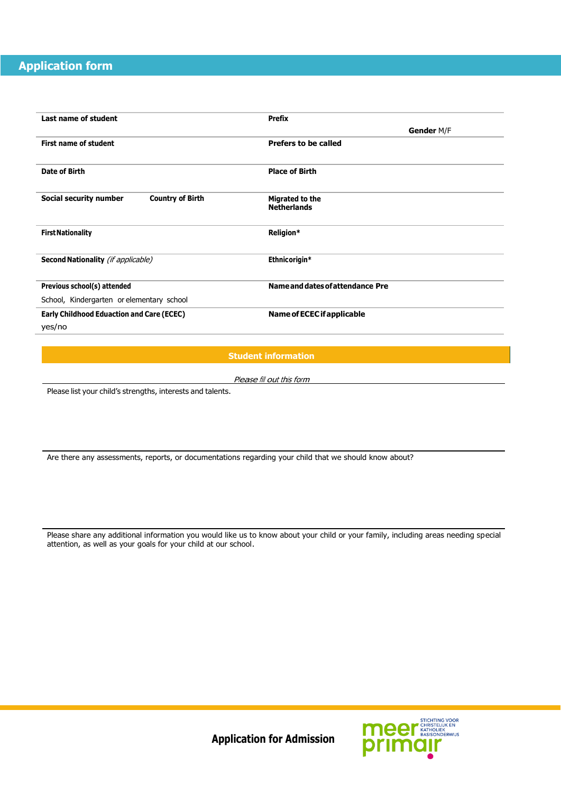# **Application form**

ng

| Last name of student                              | <b>Prefix</b>                    |
|---------------------------------------------------|----------------------------------|
|                                                   | Gender M/F                       |
| <b>First name of student</b>                      | <b>Prefers to be called</b>      |
|                                                   |                                  |
| Date of Birth                                     | <b>Place of Birth</b>            |
|                                                   |                                  |
| Social security number<br><b>Country of Birth</b> | Migrated to the                  |
|                                                   | <b>Netherlands</b>               |
|                                                   |                                  |
| <b>First Nationality</b>                          | Religion*                        |
|                                                   |                                  |
| <b>Second Nationality</b> (if applicable)         | Ethnicorigin*                    |
|                                                   |                                  |
| Previous school(s) attended                       | Name and dates of attendance Pre |
| School, Kindergarten or elementary school         |                                  |
| <b>Early Childhood Eduaction and Care (ECEC)</b>  | Name of ECEC if applicable       |
| yes/no                                            |                                  |

 **Student information**

Please fill out this form

Please list your child's strengths, interests and talents.

Are there any assessments, reports, or documentations regarding your child that we should know about?

Please share any additional information you would like us to know about your child or your family, including areas needing special attention, as well as your goals for your child at our school.

meer STICHTING YOOR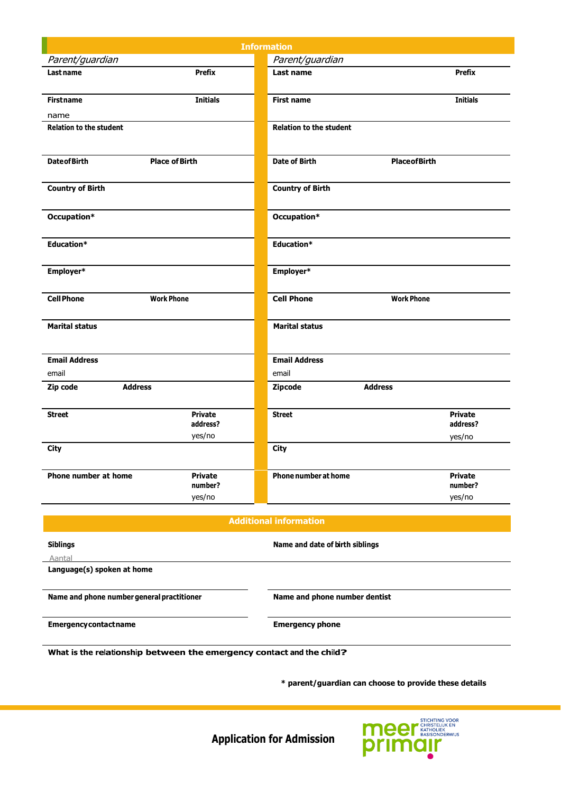|                                        |                            | <b>Information</b>             |                            |
|----------------------------------------|----------------------------|--------------------------------|----------------------------|
| Parent/guardian                        |                            | Parent/guardian                |                            |
| Last name                              | <b>Prefix</b>              | Last name                      | <b>Prefix</b>              |
| <b>First name</b>                      | <b>Initials</b>            | <b>First name</b>              | <b>Initials</b>            |
| name                                   |                            |                                |                            |
| <b>Relation to the student</b>         |                            | <b>Relation to the student</b> |                            |
| <b>Date of Birth</b>                   | <b>Place of Birth</b>      | <b>Date of Birth</b>           | <b>Place of Birth</b>      |
| <b>Country of Birth</b>                |                            | <b>Country of Birth</b>        |                            |
| Occupation*                            |                            | Occupation*                    |                            |
| Education*                             |                            | Education*                     |                            |
| Employer*                              |                            | Employer*                      |                            |
| <b>Cell Phone</b><br><b>Work Phone</b> |                            | <b>Cell Phone</b>              | <b>Work Phone</b>          |
| <b>Marital status</b>                  |                            | <b>Marital status</b>          |                            |
| <b>Email Address</b>                   |                            | <b>Email Address</b>           |                            |
| email                                  |                            | email                          |                            |
| Zip code<br><b>Address</b>             |                            | <b>Address</b><br>Zipcode      |                            |
| <b>Street</b>                          | <b>Private</b><br>address? | <b>Street</b>                  | <b>Private</b><br>address? |
|                                        | yes/no                     |                                | yes/no                     |
| <b>City</b>                            |                            | <b>City</b>                    |                            |
| Phone number at home                   | <b>Private</b><br>number?  | <b>Phone number at home</b>    | <b>Private</b><br>number?  |
|                                        | yes/no                     |                                | yes/no                     |
|                                        |                            | <b>Additional information</b>  |                            |

| <b>Siblings</b>                            | Name and date of birth siblings |  |
|--------------------------------------------|---------------------------------|--|
| Aantal                                     |                                 |  |
| Language(s) spoken at home                 |                                 |  |
|                                            |                                 |  |
|                                            |                                 |  |
| Name and phone number general practitioner | Name and phone number dentist   |  |
|                                            |                                 |  |
| <b>Emergency contact name</b>              | <b>Emergency phone</b>          |  |

**What is the relationship between the emergency contact and the child?**

 **\* parent/guardian can choose to provide these details**

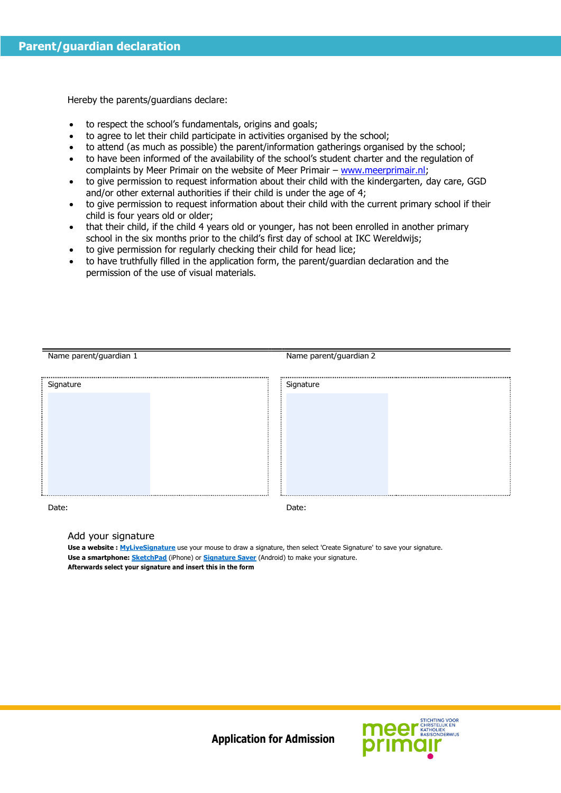Hereby the parents/guardians declare:

- to respect the school's fundamentals, origins and goals;
- to agree to let their child participate in activities organised by the school;
- to attend (as much as possible) the parent/information gatherings organised by the school;
- to have been informed of the availability of the school's student charter and the regulation of complaints by Meer Primair on the website of Meer Primair – [www.meerprimair.nl;](http://www.meerprimair.nl/)
- to give permission to request information about their child with the kindergarten, day care, GGD and/or other external authorities if their child is under the age of 4;
- to give permission to request information about their child with the current primary school if their child is four years old or older;
- that their child, if the child 4 years old or younger, has not been enrolled in another primary school in the six months prior to the child's first day of school at IKC Wereldwijs;
- to give permission for regularly checking their child for head lice;
- to have truthfully filled in the application form, the parent/guardian declaration and the permission of the use of visual materials.

| Name parent/guardian 1 | Name parent/guardian 2 |
|------------------------|------------------------|
|                        |                        |
|                        |                        |
| Signature              | Signature              |
|                        |                        |
|                        |                        |
|                        |                        |
|                        |                        |
|                        |                        |
|                        |                        |
|                        |                        |
|                        |                        |
|                        |                        |
|                        |                        |
|                        |                        |
|                        |                        |
|                        |                        |
|                        |                        |

Date: **Date:** Date: **Date: Date: Date: Date: Date: Date: Date: Date: Date: Date: Date: Date: Date: Date: Date: Date: Date: Date: Date: Date: Date: Date: Date: Date: Date: D** 

Add your signature

**Use a website : MyLiveSignature** use your mouse to draw a signature, then select 'Create Signature' to save your signature. **Use a smartphone: SketchPad** (iPhone) or **Signature Saver** (Android) to make your signature. **Afterwards select your signature and insert this in the form**

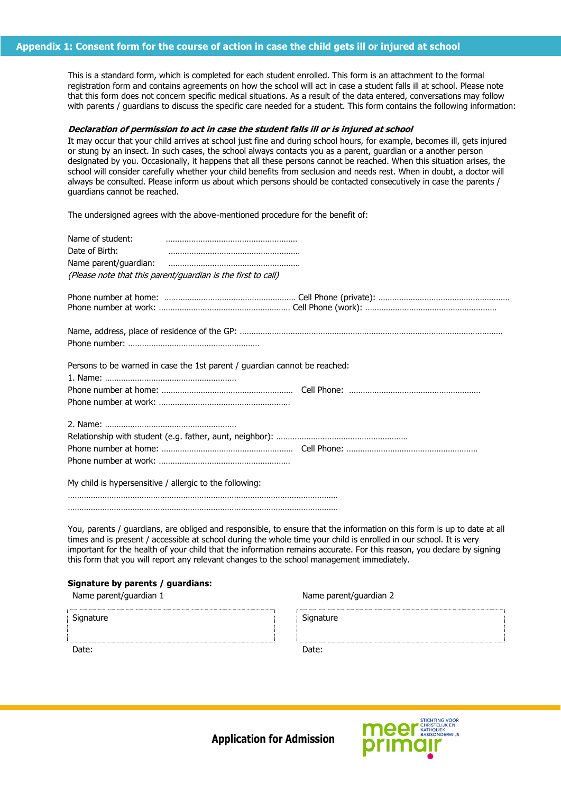#### **Appendix 1: Consent form for the course of action in case the child gets ill or injured at school**

This is a standard form, which is completed for each student enrolled. This form is an attachment to the formal registration form and contains agreements on how the school will act in case a student falls ill at school. Please note that this form does not concern specific medical situations. As a result of the data entered, conversations may follow with parents / guardians to discuss the specific care needed for a student. This form contains the following information:

#### **Declaration of permission to act in case the student falls ill or is injured at school**

It may occur that your child arrives at school just fine and during school hours, for example, becomes ill, gets injured or stung by an insect. In such cases, the school always contacts you as a parent, guardian or a another person designated by you. Occasionally, it happens that all these persons cannot be reached. When this situation arises, the school will consider carefully whether your child benefits from seclusion and needs rest. When in doubt, a doctor will always be consulted. Please inform us about which persons should be contacted consecutively in case the parents / guardians cannot be reached.

The undersigned agrees with the above-mentioned procedure for the benefit of:

| Name of student:<br>Date of Birth:                      | (Please note that this parent/guardian is the first to call)              |                                                                                                                         |
|---------------------------------------------------------|---------------------------------------------------------------------------|-------------------------------------------------------------------------------------------------------------------------|
|                                                         |                                                                           |                                                                                                                         |
|                                                         |                                                                           |                                                                                                                         |
|                                                         | Persons to be warned in case the 1st parent / guardian cannot be reached: |                                                                                                                         |
|                                                         |                                                                           |                                                                                                                         |
|                                                         |                                                                           |                                                                                                                         |
| My child is hypersensitive / allergic to the following: |                                                                           |                                                                                                                         |
|                                                         |                                                                           | You, parents / guardians, are obliged and responsible, to ensure that the information on this form is up to date at all |

times and is present / accessible at school during the whole time your child is enrolled in our school. It is very important for the health of your child that the information remains accurate. For this reason, you declare by signing this form that you will report any relevant changes to the school management immediately.

#### **Signature by parents / guardians:**

Name parent/guardian 1 Name parent/guardian 2

| Signature | Signature |  |
|-----------|-----------|--|
|           |           |  |
| Date:     | Date:     |  |

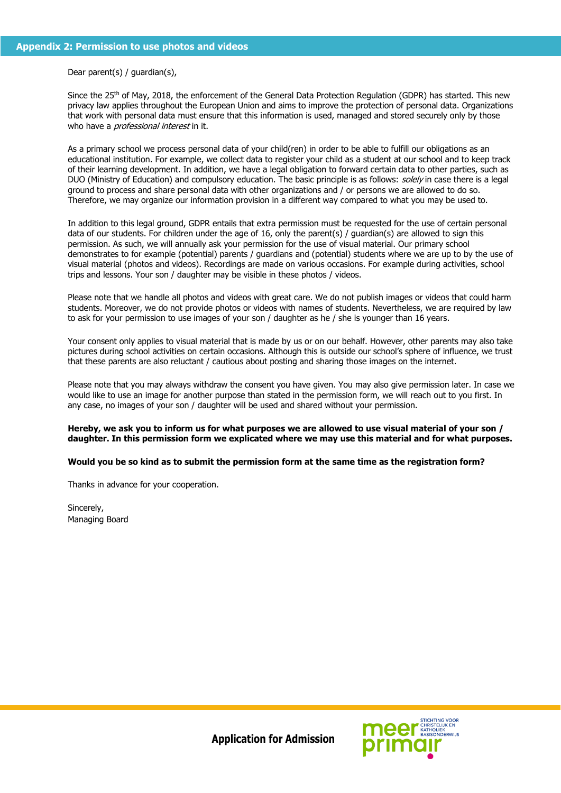#### Dear parent(s) / guardian(s),

Since the 25<sup>th</sup> of May, 2018, the enforcement of the General Data Protection Regulation (GDPR) has started. This new privacy law applies throughout the European Union and aims to improve the protection of personal data. Organizations that work with personal data must ensure that this information is used, managed and stored securely only by those who have a *professional interest* in it.

As a primary school we process personal data of your child(ren) in order to be able to fulfill our obligations as an educational institution. For example, we collect data to register your child as a student at our school and to keep track of their learning development. In addition, we have a legal obligation to forward certain data to other parties, such as DUO (Ministry of Education) and compulsory education. The basic principle is as follows: solely in case there is a legal ground to process and share personal data with other organizations and / or persons we are allowed to do so. Therefore, we may organize our information provision in a different way compared to what you may be used to.

In addition to this legal ground, GDPR entails that extra permission must be requested for the use of certain personal data of our students. For children under the age of 16, only the parent(s) / guardian(s) are allowed to sign this permission. As such, we will annually ask your permission for the use of visual material. Our primary school demonstrates to for example (potential) parents / guardians and (potential) students where we are up to by the use of visual material (photos and videos). Recordings are made on various occasions. For example during activities, school trips and lessons. Your son / daughter may be visible in these photos / videos.

Please note that we handle all photos and videos with great care. We do not publish images or videos that could harm students. Moreover, we do not provide photos or videos with names of students. Nevertheless, we are required by law to ask for your permission to use images of your son / daughter as he / she is younger than 16 years.

Your consent only applies to visual material that is made by us or on our behalf. However, other parents may also take pictures during school activities on certain occasions. Although this is outside our school's sphere of influence, we trust that these parents are also reluctant / cautious about posting and sharing those images on the internet.

Please note that you may always withdraw the consent you have given. You may also give permission later. In case we would like to use an image for another purpose than stated in the permission form, we will reach out to you first. In any case, no images of your son / daughter will be used and shared without your permission.

#### **Hereby, we ask you to inform us for what purposes we are allowed to use visual material of your son / daughter. In this permission form we explicated where we may use this material and for what purposes.**

#### **Would you be so kind as to submit the permission form at the same time as the registration form?**

Thanks in advance for your cooperation.

Sincerely, Managing Board